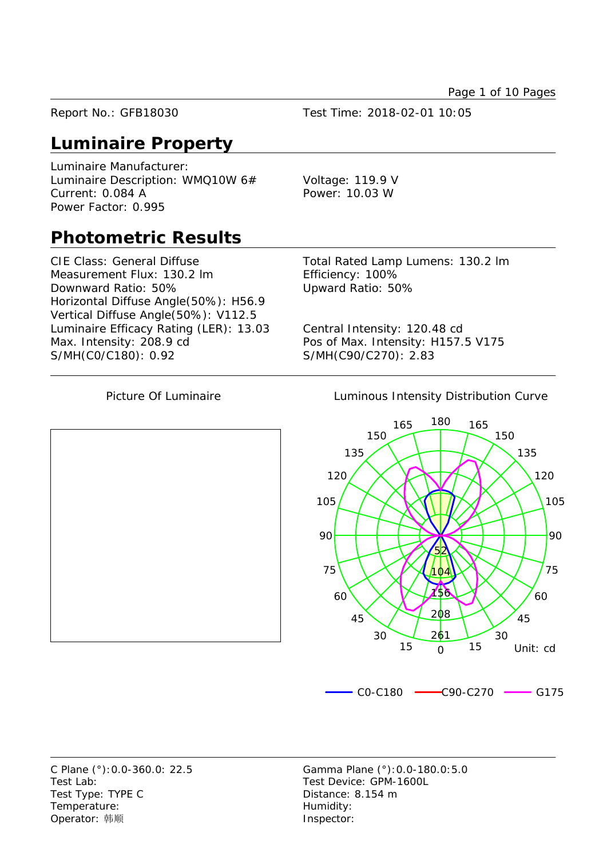Page 1 of 10 Pages

Report No.: GFB18030 Test Time: 2018-02-01 10:05

## **Luminaire Property**

Luminaire Manufacturer: Luminaire Description: WMQ10W 6# Voltage: 119.9 V Current: 0.084 A Power: 10.03 W Power Factor: 0.995

### **Photometric Results**

CIE Class: General Diffuse Total Rated Lamp Lumens: 130.2 lm Measurement Flux: 130.2 lm Efficiency: 100% Downward Ratio: 50% Upward Ratio: 50% Horizontal Diffuse Angle(50%): H56.9 Vertical Diffuse Angle(50%): V112.5 Luminaire Efficacy Rating (LER): 13.03 Central Intensity: 120.48 cd Max. Intensity: 208.9 cd Pos of Max. Intensity: H157.5 V175 S/MH(C0/C180): 0.92 S/MH(C90/C270): 2.83

Picture Of Luminaire **Luminous Intensity Distribution Curve** 



Test Lab: Test Device: GPM-1600L Test Type: TYPE C Distance: 8.154 m Temperature: Temperature: Operator: 韩顺 **Inspector:** 

C Plane (°):0.0-360.0: 22.5 Gamma Plane (°):0.0-180.0:5.0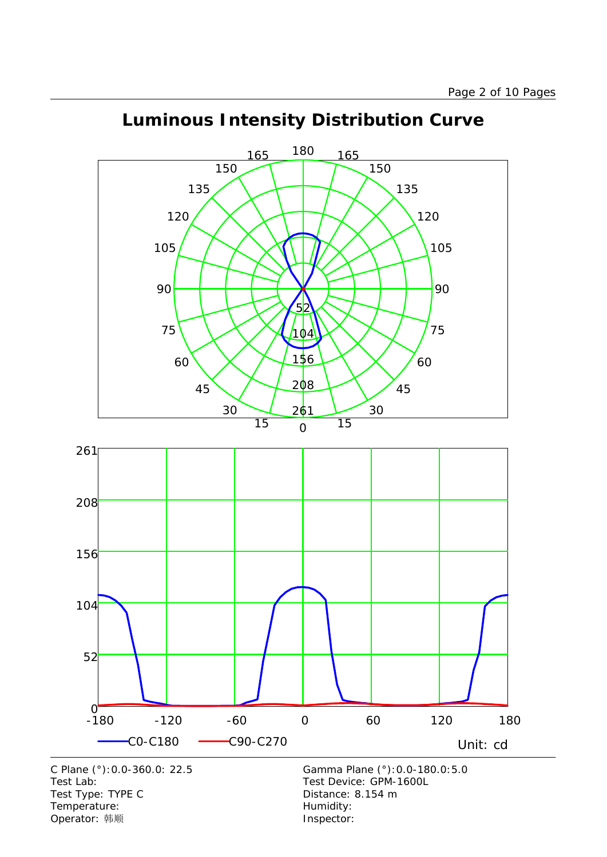

# **Luminous Intensity Distribution Curve**



Test Lab:<br>
Test Type: TYPE C<br>
Test Type: TYPE C<br>
Test Type: TYPE C<br>
Test Type: TYPE C Test Type: TYPE C Temperature: Temperature: Temperature: Operator: 韩顺 **Inspector:**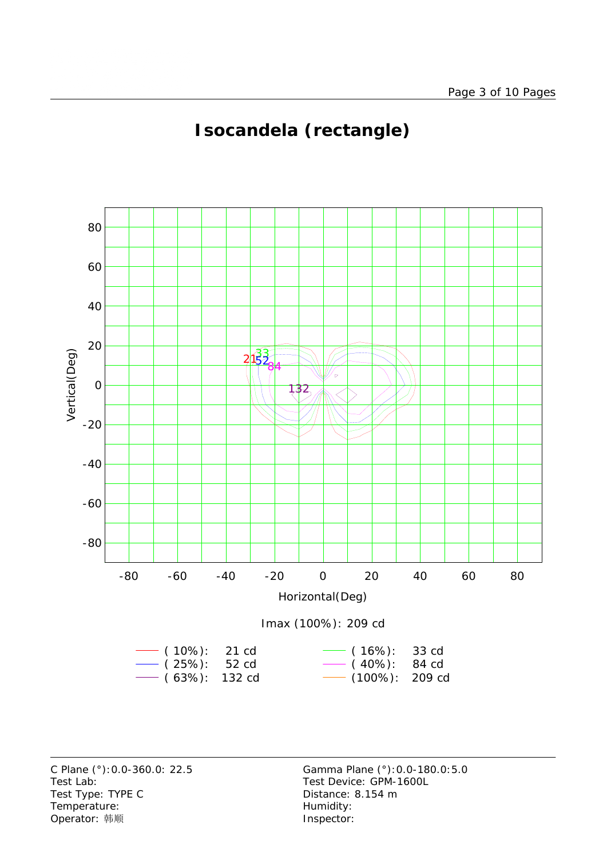

# **Isocandela (rectangle)**



Test Lab: Test Device: GPM-1600L Test Type: TYPE C Distance: 8.154 m Temperature: Temperature: Temperature: Operator: 韩顺 **Inspector:** 

C Plane (°):0.0-360.0: 22.5 Gamma Plane (°):0.0-180.0:5.0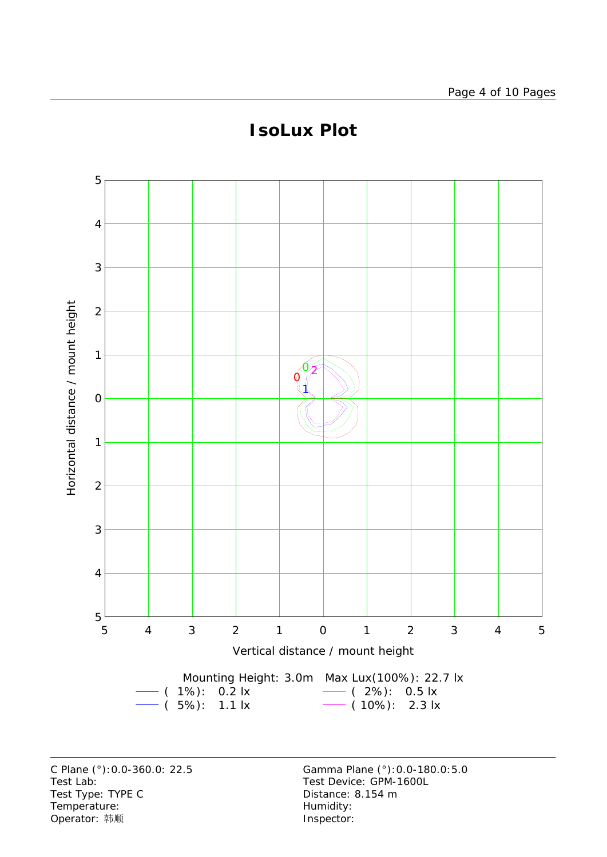

# **IsoLux Plot**

C Plane (°):0.0-360.0: 22.5 Gamma Plane (°):0.0-180.0:5.0 Test Lab: Test Device: GPM-1600L Test Type: TYPE C COME CONTROLLER Distance: 8.154 m Temperature: We are the more controller as a set of the Humidity:<br>  $\begin{array}{ccc}\n\text{Operator: } & \text{if } \text{iff} \\
\end{array}$ Operator: 韩顺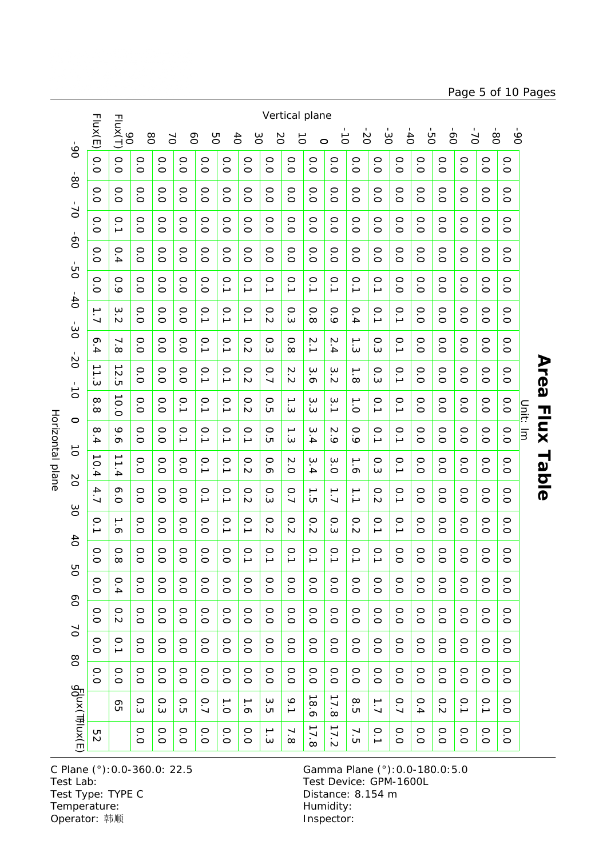Horizontal plane Horizontal plane  $\infty$  $\overline{d}$ **DO**  $\infty$ 

Vertical plane Flux(E) 90 Flux(T) -50  $-80$ -90 -30  $\dot{\mathcal{S}}$  $\overline{5}$ 80 -20 70 60 50  $6<sup>4</sup>$ 30 20  $\vec{o}$  $\vec{0}$  $\sigma$  $\circ$  $06 -$ -90 -80 -70 -60 -50 -50 -40 -30 -20 -10 -10 -10 -20 -30 -40 -50 -50 -90 -90 -90 -90 -90 -90 -90 -90 -0.0 0.0 0.00.00.00.00.00.00.00.00.00.00.00.00.00.00.00.00.00.070 -80  $\dot{8}$ 0.0 0.0 0.0 $\circ$  0.0 0.0 0.0 0.0 0.0 0.0 $\circ$  0.0 0.0 0.0 0.0 0.0 0.0 0.0 0.0 0.0.<br>ت  $\overline{\circ}$  $01 -$ -70 -60 -50 -40 -30 -20 -10 -0 -10 -20 -30 -30 -50 -50 0.0 0.1  $\circ$  $\circ$  $\circ$  $\circ$  $\circ$  $\circ$  $\circ$  $\circ$  $\circ$  $\circ$  $\circ$  $\circ$  $\circ$  $\circ$  $\circ$  $\circ$  $\circ$  $\circ$  $\overline{\overline{O}}$  $\overline{O}$  $\overline{O}$  $\overline{O}$  $\overline{O}$  $\overline{O}$  $\overline{O}$  $\overline{O}$  $\overline{O}$ .<br>்  $\overline{O}$  $\overline{O}$  $\overline{O}$  $\overline{O}$  $\overline{O}$ .<br>O  $\overline{O}$  $\overline{\circ}$  $\overline{0}$ -60 -50 -40 -30 -20 -10 -0 -10 -20 -30 -40 -50 0.0 0.4  $\circ$  $\circ$  $\circ$  0.0 $\circ$  $\circ$  $\circ$  $\circ$  $\circ$  $\circ$  $\circ$  $\circ$  $\circ$  $\circ$  $\circ$  $\circ$  $\circ$  $\circ$  $\overline{\circ}$  $\overline{O}$  $\overline{O}$  $\overline{O}$  $\overline{O}$  $\overline{\circ}$  $\overline{O}$  $\overline{O}$  $\circ$  $\overline{O}$  $\overline{O}$  $\overline{O}$  $\overline{O}$  $\overline{O}$  $\overline{\circ}$  $\overline{O}$  $\overline{O}$  $O<sup>2</sup>$ -50 -40 -30 -20 -10 0 10 20 20 40<br>-50 -40 -30 -20 0 10 20 30 40 0.0 0.9 0.0o<br>O 0.0 0.0.<br>ا .<br>ا .<br>ا .<br>ا .<br>. .<br>ا <u>م</u>. .<br>ا 0.0 0.0 0.0 0.0 0.0 0.0 $-40$ 30 -40 $1.7$ 3.2  $\circ$  $\circ$  $\circ$  $\circ$  $\circ$  $\circ$  $\circ$  $\circ$  $\circ$  $\circ$  $\circ$  $\circ$  $\circ$ .<br>ا .<br>ا .<br>ا .<br>ا <u>م</u>.  $\overline{O}$ .<br>ت .<br>ت  $\sim$ نى  $\infty$  $\frac{1}{4}$ .<br>ت .<br>ت  $\overline{O}$ .<br>ت  $\overline{O}$  $\sim$  $\frac{1}{20}$ -30 -20 -20 -20 -20 -20 6.4 7.8  $\circ$  $\circ$  $\circ$  $\circ$  $\circ$  $\rightarrow$  $\circ$  $\circ$  $\circ$  $\circ$  $\circ$  $\circ$ .<br>ا .<br>أ ں<br>س .<br>.<br>. 2.4 <u>م</u>.  $\infty$  $\overline{\circ}$  $\overline{\circ}$  $\dot{\mathsf{o}}$  $\sim$ ن،  $\dot{\bm{\omega}}$  $\overline{\circ}$  $\rm\dot{\circ}$  $\overline{\circ}$  $\overline{\circ}$  $\overline{O}$  $-20$  0  $-10$ Ö 11.3 12.5  $\circ$  $\circ$  $\circ$  $\circ$ <u>م</u>. <u>م</u>.  $\circ$ 0.<br>ا  $\sim$  $\omega$  $\omega$  $\rightarrow$  $\circ$ <u>م</u>.  $\circ$  $\circ$  $\circ$  $\circ$  $\overline{\circ}$  $\overline{\circ}$  $\overleftarrow{C}$  $\sim$  $\sim$  $\sigma$  $\sim$  $\infty$ نى  $\overline{\circ}$  $\overline{\circ}$  $\overline{\circ}$  $\overline{\circ}$  $\overline{\circ}$  $\frac{1}{\sigma}$ |<br>ס<br>ס 10.0 8.8  $\circ$  $\rightarrow$  $\omega$ o<br>O o<br>O .<br>. .<br>. .<br>. 0<br>टा ب<br>.<br>. .<br>. <u>م</u>. o<br>O 0.0 0.0 0.0 0.0Unit: Im Unit: lm  $\overline{O}$  $\dot{\bm{\omega}}$  $\sim$  $\omega$  $\circ$  $\circ$ 8.4 9.6  $\circ$  $\circ$ .<br>ا .<br>ا .<br>ا .<br>ا  $\circ$  $\rightarrow$  $\omega$  $\mathcal{N}$  $\circ$ .<br>ا <u>م</u>.  $\circ$  $\circ$  $\circ$  $\circ$ .<br>ت  $\overline{\mathsf{c}}$ ת نى 3.4 $\sim$ 0.0 $\overline{O}$ .<br>ت  $\overline{O}$  $\overline{\circ}$  $\sim$ .<br>O  $\vec{o}$ 10.4 11.4  $\circ$  $\circ$  $\circ$  $\circ$  $\circ$  $\overline{\mathsf{C}}$  $\omega$  $\omega$  $\rightarrow$  $\circ$  $\circ$  $\circ$  $\circ$  $\circ$  $\circ$ .<br>ا .<br>أ <u>م</u>.  $\circ$  $\overline{O}$  $\circ$  $\mathcal{D}$  $\infty$  $\circ$  $\rightarrow$  $\circ$  $\sigma$  $\omega$  $\overline{O}$  $\circ$  $\circ$  $\overline{O}$  $\circ$ **NO** 4.7 6.0  $\circ$  $\circ$  $\circ$ <u>م</u>. <u>م</u>. ن<br>2 0<br>س 0.<br>ا ب<br>أ ب<br>. ن<br>2 <u>م</u>.  $\circ$  $\circ$  $\circ$  $\circ$  $\circ$  $\rightarrow$  $\overline{O}$ .<br>0  $\overline{\circ}$  $\overline{5}$  $\overline{O}$  $\overline{O}$  $\overline{O}$  $\overline{O}$  $\overline{\circ}$  $\circ$  $\circ$  $\circ$ 0.1  $\circ$  $\circ$  $\circ$  $\circ$  $\circ$  $\circ$  $\circ$  $\circ$  $\circ$  $\circ$ o<br>O o<br>O .<br>. <u>م</u>. 0.0 $\overline{O}$  $\tilde{\mathbf{u}}$  $\overline{\phantom{a}}$  $\sim$  $\sim$  $\sim$  $\overline{O}$ .<br>ت  $\overline{O}$  $\sigma$  $\rm\dot{\circ}$  $\sim$ دە،  $\overline{\circ}$ 0.0  $\circ$ 0.8  $\circ$  $\circ$  $\circ$  $\circ$  $\circ$  $\circ$  $\circ$  $\circ$  $\circ$  $\circ$ .<br>ا .<br>ا .<br>ا .<br>. .<br>ا <u>م</u>. .<br>ا .<br>ت  $\circ$  $\rm \dot{\circ}$  $\rm\dot{\circ}$  $\circ$  $\circ$  $\circ$  $\overline{\circ}$  $\circ$  $\circ$  $\overline{\circ}$ 0.0 0.4 o<br>O o<br>O  $\circ$  0.0 $\circ$  $\circ$ o<br>O 0.0 $\circ$  $\circ$  0.0 $\circ$  0.0 0.0 $\circ$  $\circ$  0.0 $\circ$  $\overline{O}$  $\overline{O}$  $\overline{O}$  $\overline{O}$  $\circ$  $\overline{O}$  $\overline{O}$  $\overline{\circ}$  $\overline{O}$ 0.0 0.2  $\circ$  $\circ$  $\circ$  $\circ$  $\circ$  $\circ$  $\circ$  $\circ$  $\circ$  $\circ$  $\circ$  $\circ$  $\circ$  $\circ$  $\circ$  $\circ$  $\circ$  $\circ$  $\overline{O}$ .<br>O  $\overleftarrow{C}$  $\overline{O}$  $\overline{O}$  $\overline{O}$  $\overline{O}$  $\overline{O}$  $\overline{O}$  $\overline{O}$  $\overline{O}$  $\overline{O}$  $\overline{O}$  $\overline{O}$  $\overline{O}$  $\overline{O}$ .<br>o  $\overline{O}$  $\sim$ 0.0 0.1  $\circ$  $\circ$  $\circ$  $\circ$  $\circ$  $\circ$  $\circ$  $\circ$  $\circ$  $\circ$  $\circ$  $\circ$  $\circ$  $\circ$ o<br>O 0.0 0.0 0.0 $\rm \dot{\circ}$  $\overline{\circ}$  $\overline{\circ}$  $\overline{\circ}$  $\overline{\circ}$  $\overline{\circ}$  $\overline{\circ}$  $\overline{\circ}$  $\overline{\circ}$  $\overline{\circ}$ .<br>O  $\overline{\circ}$  $\overline{\circ}$  $\overline{\circ}$  $80$ 0.0 0.0  $\circ$  $\circ$  $\circ$  $\circ$  $\circ$  $\circ$  $\circ$  $\circ$  $\circ$  $\circ$  $\circ$  $\circ$  $\circ$  $\circ$  $\circ$  $\circ$  $\circ$  $\circ$ .<br>ت .<br>O .<br>ت  $\overline{O}$  $\overline{O}$ .<br>0  $\overline{O}$ 0.0  $\overline{\circ}$ .<br>0  $\overline{\circ}$  $\overline{O}$  $\overline{\circ}$  $\overline{O}$  $\overline{O}$  $\overline{O}$ .<br>O  $\overline{O}$ ą{ux(Ͳ)ux(E 90Flux(T)Flux(E) 17.89.10.40.10.30.7 $\overline{1}$ . 1.618.6 $\frac{8}{5}$ 0.10.0 $\sum_{i=1}^{n}$ 0.5 $\frac{3}{5}$ 1.7 $\overline{O}$ 0.265 17.8 17.2  $\circ$  $\circ$  $\circ$  $\circ$  $\overline{\phantom{0}}$  $\overline{\phantom{0}}$  $\circ$  $\circ$  $\circ$  $\circ$  $\circ$  0.0 o<br>O  $\rightarrow$ .<br>. 0.0 52  $\dot{\omega}$  $\overline{\infty}$  $\overline{O}$  $\overline{O}$  $\overline{O}$  $\overline{c}$  $\overline{O}$  $\overline{O}$  $\frac{1}{\sqrt{2}}$  $\overline{O}$  $\overline{O}$ .<br>0

C Plane (°):0.0-360.0: 22.5 Gamma Plane (°):0.0-180.0:5.0 Test Lab: Test Device: GPM-1600L Test Type: TYPE C COME CONTROLLER Distance: 8.154 m Temperature: Temperature: Temperature: Operator: 韩顺 **Inspector:** 

### Page 5 of 10 Pages

**Area Flux Table**

**Flux Table** 

**Area**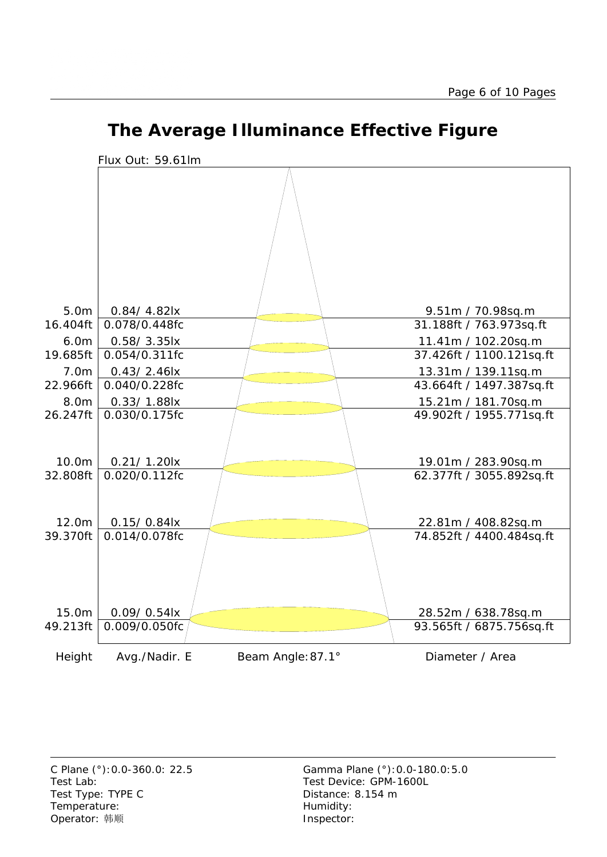

## **The Average Illuminance Effective Figure**

Test Lab: Test Device: GPM-1600L Test Type: TYPE C Distance: 8.154 m Temperature: Temperature: Temperature: Operator: 韩顺 **Inspector:**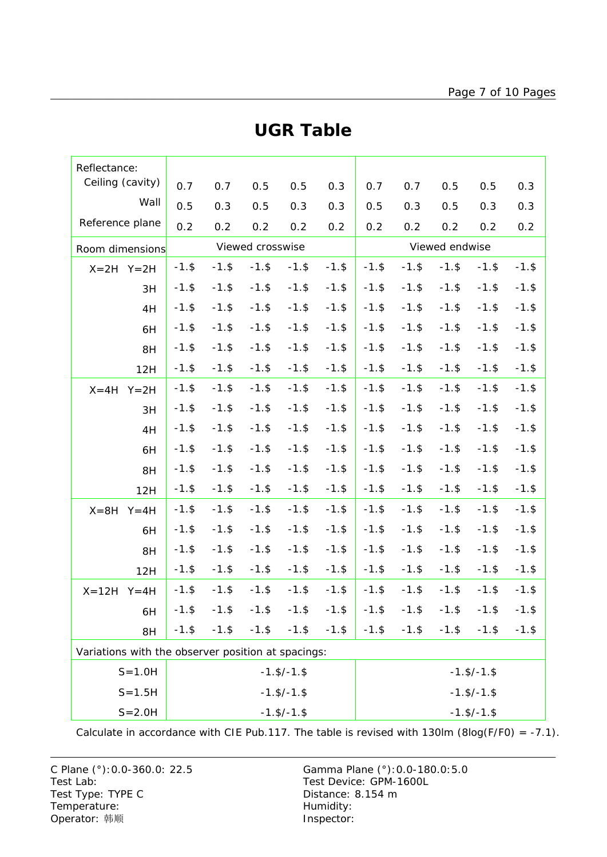| Reflectance:                                       |                                  |          |          |                            |                    |                    |                |                    |          |          |          |  |
|----------------------------------------------------|----------------------------------|----------|----------|----------------------------|--------------------|--------------------|----------------|--------------------|----------|----------|----------|--|
| Ceiling (cavity)                                   |                                  | 0.7      | 0.7      | 0.5                        | 0.5                | 0.3                | 0.7            | 0.7                | 0.5      | 0.5      | 0.3      |  |
| Wall                                               |                                  | 0.5      | 0.3      | 0.5                        | 0.3                | 0.3                | 0.5            | 0.3                | 0.5      | 0.3      | 0.3      |  |
| Reference plane                                    |                                  | 0.2      | 0.2      | 0.2                        | 0.2                | 0.2                | 0.2            | 0.2                | 0.2      | 0.2      | 0.2      |  |
| Room dimensions                                    |                                  |          |          | Viewed crosswise           |                    |                    | Viewed endwise |                    |          |          |          |  |
| $X=2H$ $Y=2H$                                      |                                  | $-1.$ \$ | $-1.$ \$ | $-1.$ \$                   | $-1.$ \$           | $-1.$ \$           | $-1.$ \$       | $-1.$ \$           | $-1.$ \$ | $-1.$ \$ | $-1.$ \$ |  |
| 3H                                                 |                                  | $-1.$ \$ | $-1.$ \$ | $-1.$ \$                   | $-1.$ \$           | $-1.$ \$           | $-1.$ \$       | $-1.$ \$           | $-1.$ \$ | $-1.$ \$ | $-1.$ \$ |  |
| 4H                                                 |                                  | $-1.$ \$ | $-1.$ \$ | $-1.$ \$                   | $-1.$ \$           | $-1.$ \$           | $-1.$ \$       | $-1.$ \$           | $-1.$ \$ | $-1.$ \$ | $-1.$ \$ |  |
| 6H                                                 |                                  | $-1.$ \$ | $-1.$ \$ | $-1.$ \$                   | $-1.$ \$           | $-1.$ \$           | $-1.$ \$       | $-1.$ \$           | $-1.$ \$ | $-1.$ \$ | $-1.$ \$ |  |
| 8H                                                 |                                  | $-1.$ \$ | $-1.$ \$ | $-1.$ \$                   | $-1.$ \$           | $-1.$ \$           | $-1.$ \$       | $-1.$ \$           | $-1.$ \$ | $-1.$ \$ | $-1.$ \$ |  |
| 12H                                                |                                  | $-1.$ \$ | $-1.$ \$ | $-1.$ \$                   | $-1.$ \$           | $-1.$ \$           | $-1.$ \$       | $-1.$ \$           | $-1.$ \$ | $-1.$ \$ | $-1.$ \$ |  |
| $X = 4H$<br>$Y = 2H$                               |                                  | $-1.$ \$ | $-1.$ \$ | $-1.$ \$                   | $-1.$ \$           | $-1.$ \$           | $-1.$ \$       | $-1.$ \$           | $-1.$ \$ | $-1.$ \$ | $-1.$ \$ |  |
| 3H                                                 |                                  | $-1.$ \$ | $-1.$ \$ | $-1.$ \$                   | $-1.$ \$           | $-1.$ \$           | $-1.$ \$       | $-1.$ \$           | $-1.$ \$ | $-1.$ \$ | $-1.$ \$ |  |
| 4H                                                 |                                  | $-1.$ \$ | $-1.$ \$ | $-1.$ \$                   | $-1.$ \$           | $-1.$ \$           | $-1.$ \$       | $-1.$ \$           | $-1.$ \$ | $-1.$ \$ | $-1.$ \$ |  |
| 6H                                                 |                                  | $-1.$ \$ | $-1.$ \$ | $-1.$ \$                   | $-1.$ \$           | $-1.$ \$           | $-1.$ \$       | $-1.$ \$           | $-1.$ \$ | $-1.$ \$ | $-1.$ \$ |  |
| 8H                                                 |                                  | $-1.$ \$ | $-1.$ \$ | $-1.$ \$                   | $-1.$ \$           | $-1.$ \$           | $-1.$ \$       | $-1.$ \$           | $-1.$ \$ | $-1.$ \$ | $-1.$ \$ |  |
| 12H                                                |                                  | $-1.$ \$ | $-1.$ \$ | $-1.$ \$                   | $-1.$ \$           | $-1.$ \$           | $-1.$ \$       | $-1.$ \$           | $-1.$ \$ | $-1.$ \$ | $-1.$ \$ |  |
| $X = 8H$<br>$Y = 4H$                               |                                  | $-1.$ \$ | $-1.$ \$ | $-1.$ \$                   | $-1.$ \$           | $-1.$ \$           | $-1.$ \$       | $-1.$ \$           | $-1.$ \$ | $-1.$ \$ | $-1.$ \$ |  |
| 6H                                                 |                                  | $-1.$ \$ | $-1.$ \$ | $-1.$ \$                   | $-1.$ \$           | $-1.$ \$           | $-1.$ \$       | $-1.$ \$           | $-1.$ \$ | $-1.$ \$ | $-1.$ \$ |  |
| 8H                                                 |                                  | $-1.$ \$ | $-1.$ \$ | $-1.$ \$                   | $-1.$ \$           | $-1.$ \$           | $-1.$ \$       | $-1.$ \$           | $-1.$ \$ | $-1.$ \$ | $-1.$ \$ |  |
| 12H                                                |                                  | $-1.$ \$ | $-1.$ \$ | $-1.$ \$                   | $-1.$ \$           | $-1.$ \$           | $-1.$ \$       | $-1.$ \$           | $-1.$ \$ | $-1.$ \$ | $-1.$ \$ |  |
| $X = 12H$<br>$Y = 4H$                              |                                  | $-1.$ \$ | $-1.$ \$ | $-1.$ \$                   | $-1.$ \$           | $-1.$ \$           | $-1.$ \$       | $-1.$ \$           | $-1.$ \$ | $-1.$ \$ | $-1.$ \$ |  |
| 6H                                                 |                                  | $-1.$ \$ |          | $-1.$ \$ $-1.$ \$ $-1.$ \$ |                    | $-1.$ \$           | $-1.$ \$       | $-1.$ \$           | $-1.$ \$ | $-1.$ \$ | $-1.$ \$ |  |
| 8H                                                 |                                  | $-1.$ \$ | $-1.$ \$ | $-1.$ \$                   | $-1.$ \$           | $-1.$ \$           | $-1.$ \$       | $-1.$ \$           | $-1.$ \$ | $-1.$ \$ | $-1.$ \$ |  |
| Variations with the observer position at spacings: |                                  |          |          |                            |                    |                    |                |                    |          |          |          |  |
| $S = 1.0H$<br>$-1.$ \$/ $-1.$ \$                   |                                  |          |          |                            |                    |                    |                | $-1.$ \$/ $-1.$ \$ |          |          |          |  |
|                                                    | $-1.5/-1.$ \$<br>$S = 1.5H$      |          |          |                            | $-1.$ \$/ $-1.$ \$ |                    |                |                    |          |          |          |  |
|                                                    | $S = 2.0H$<br>$-1.$ \$/ $-1.$ \$ |          |          |                            |                    | $-1.$ \$/ $-1.$ \$ |                |                    |          |          |          |  |

### **UGR Table**

Calculate in accordance with CIE Pub.117. The table is revised with 130lm (8log(F/F0) = -7.1).

C Plane (°):0.0-360.0: 22.5 Gamma Plane (°):0.0-180.0:5.0 Test Lab: Test Device: GPM-1600L Test Type: TYPE C Distance: 8.154 m Temperature: Temperature: Temperature: Operator: 韩顺 **Inspector:**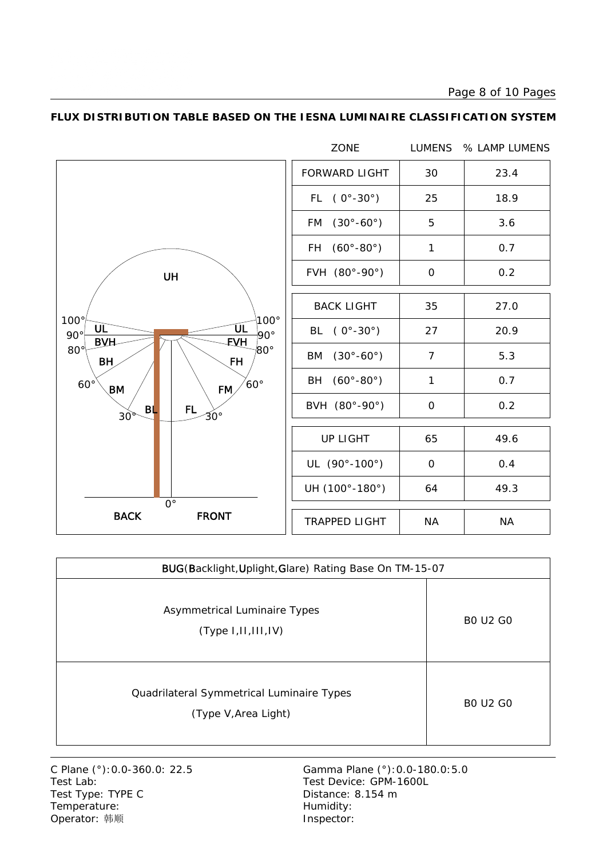Page 8 of 10 Pages



### **FLUX DISTRIBUTION TABLE BASED ON THE IESNA LUMINAIRE CLASSIFICATION SYSTEM**

| BUG(Backlight, Uplight, Glare) Rating Base On TM-15-07            |                 |  |  |  |  |  |  |
|-------------------------------------------------------------------|-----------------|--|--|--|--|--|--|
| Asymmetrical Luminaire Types<br>(Type 1,11,111,1V)                | <b>BO U2 GO</b> |  |  |  |  |  |  |
| Quadrilateral Symmetrical Luminaire Types<br>(Type V, Area Light) | <b>BO U2 GO</b> |  |  |  |  |  |  |

Test Lab: Test Device: GPM-1600L Test Type: TYPE C Distance: 8.154 m Temperature: Temperature: Temperature: Operator: 韩顺 **Inspector:** 

C Plane (°):0.0-360.0: 22.5 Gamma Plane (°):0.0-180.0:5.0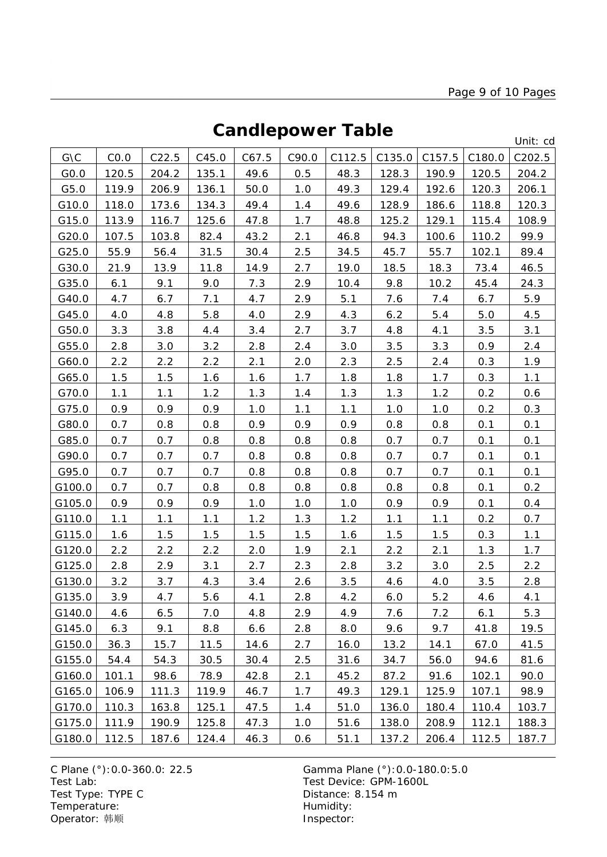# **Candlepower Table**

Unit: cd

|        |       |       |       |       |       |        |        |        |        | onn. cu |
|--------|-------|-------|-------|-------|-------|--------|--------|--------|--------|---------|
| G\C    | CO.0  | C22.5 | C45.0 | C67.5 | C90.0 | C112.5 | C135.0 | C157.5 | C180.0 | C202.5  |
| GO.0   | 120.5 | 204.2 | 135.1 | 49.6  | 0.5   | 48.3   | 128.3  | 190.9  | 120.5  | 204.2   |
| G5.0   | 119.9 | 206.9 | 136.1 | 50.0  | 1.0   | 49.3   | 129.4  | 192.6  | 120.3  | 206.1   |
| G10.0  | 118.0 | 173.6 | 134.3 | 49.4  | 1.4   | 49.6   | 128.9  | 186.6  | 118.8  | 120.3   |
| G15.0  | 113.9 | 116.7 | 125.6 | 47.8  | 1.7   | 48.8   | 125.2  | 129.1  | 115.4  | 108.9   |
| G20.0  | 107.5 | 103.8 | 82.4  | 43.2  | 2.1   | 46.8   | 94.3   | 100.6  | 110.2  | 99.9    |
| G25.0  | 55.9  | 56.4  | 31.5  | 30.4  | 2.5   | 34.5   | 45.7   | 55.7   | 102.1  | 89.4    |
| G30.0  | 21.9  | 13.9  | 11.8  | 14.9  | 2.7   | 19.0   | 18.5   | 18.3   | 73.4   | 46.5    |
| G35.0  | 6.1   | 9.1   | 9.0   | 7.3   | 2.9   | 10.4   | 9.8    | 10.2   | 45.4   | 24.3    |
| G40.0  | 4.7   | 6.7   | 7.1   | 4.7   | 2.9   | 5.1    | 7.6    | 7.4    | 6.7    | 5.9     |
| G45.0  | 4.0   | 4.8   | 5.8   | 4.0   | 2.9   | 4.3    | 6.2    | 5.4    | 5.0    | 4.5     |
| G50.0  | 3.3   | 3.8   | 4.4   | 3.4   | 2.7   | 3.7    | 4.8    | 4.1    | 3.5    | 3.1     |
| G55.0  | 2.8   | 3.0   | 3.2   | 2.8   | 2.4   | 3.0    | 3.5    | 3.3    | 0.9    | 2.4     |
| G60.0  | 2.2   | 2.2   | 2.2   | 2.1   | 2.0   | 2.3    | 2.5    | 2.4    | 0.3    | 1.9     |
| G65.0  | 1.5   | 1.5   | 1.6   | 1.6   | 1.7   | 1.8    | 1.8    | 1.7    | 0.3    | 1.1     |
| G70.0  | 1.1   | 1.1   | 1.2   | 1.3   | 1.4   | 1.3    | 1.3    | 1.2    | 0.2    | 0.6     |
| G75.0  | 0.9   | 0.9   | 0.9   | 1.0   | 1.1   | 1.1    | 1.0    | 1.0    | 0.2    | 0.3     |
| G80.0  | 0.7   | 0.8   | 0.8   | 0.9   | 0.9   | 0.9    | 0.8    | 0.8    | 0.1    | 0.1     |
| G85.0  | 0.7   | 0.7   | 0.8   | 0.8   | 0.8   | 0.8    | 0.7    | 0.7    | 0.1    | 0.1     |
| G90.0  | 0.7   | 0.7   | 0.7   | 0.8   | 0.8   | 0.8    | 0.7    | 0.7    | 0.1    | 0.1     |
| G95.0  | 0.7   | 0.7   | 0.7   | 0.8   | 0.8   | 0.8    | 0.7    | 0.7    | 0.1    | 0.1     |
| G100.0 | 0.7   | 0.7   | 0.8   | 0.8   | 0.8   | 0.8    | 0.8    | 0.8    | 0.1    | 0.2     |
| G105.0 | 0.9   | 0.9   | 0.9   | 1.0   | 1.0   | 1.0    | 0.9    | 0.9    | 0.1    | 0.4     |
| G110.0 | 1.1   | 1.1   | 1.1   | 1.2   | 1.3   | 1.2    | 1.1    | 1.1    | 0.2    | 0.7     |
| G115.0 | 1.6   | 1.5   | 1.5   | 1.5   | 1.5   | 1.6    | 1.5    | 1.5    | 0.3    | 1.1     |
| G120.0 | 2.2   | 2.2   | 2.2   | 2.0   | 1.9   | 2.1    | 2.2    | 2.1    | 1.3    | 1.7     |
| G125.0 | 2.8   | 2.9   | 3.1   | 2.7   | 2.3   | 2.8    | 3.2    | 3.0    | 2.5    | 2.2     |
| G130.0 | 3.2   | 3.7   | 4.3   | 3.4   | 2.6   | 3.5    | 4.6    | 4.0    | 3.5    | 2.8     |
| G135.0 | 3.9   | 4.7   | 5.6   | 4.1   | 2.8   | 4.2    | 6.0    | 5.2    | 4.6    | 4.1     |
| G140.0 | 4.6   | 6.5   | 7.0   | 4.8   | 2.9   | 4.9    | 7.6    | 7.2    | 6.1    | 5.3     |
| G145.0 | 6.3   | 9.1   | 8.8   | 6.6   | 2.8   | 8.0    | 9.6    | 9.7    | 41.8   | 19.5    |
| G150.0 | 36.3  | 15.7  | 11.5  | 14.6  | 2.7   | 16.0   | 13.2   | 14.1   | 67.0   | 41.5    |
| G155.0 | 54.4  | 54.3  | 30.5  | 30.4  | 2.5   | 31.6   | 34.7   | 56.0   | 94.6   | 81.6    |
| G160.0 | 101.1 | 98.6  | 78.9  | 42.8  | 2.1   | 45.2   | 87.2   | 91.6   | 102.1  | 90.0    |
| G165.0 | 106.9 | 111.3 | 119.9 | 46.7  | 1.7   | 49.3   | 129.1  | 125.9  | 107.1  | 98.9    |
| G170.0 | 110.3 | 163.8 | 125.1 | 47.5  | 1.4   | 51.0   | 136.0  | 180.4  | 110.4  | 103.7   |
| G175.0 | 111.9 | 190.9 | 125.8 | 47.3  | 1.0   | 51.6   | 138.0  | 208.9  | 112.1  | 188.3   |
| G180.0 | 112.5 | 187.6 | 124.4 | 46.3  | 0.6   | 51.1   | 137.2  | 206.4  | 112.5  | 187.7   |

C Plane (°): 0.0-360.0: 22.5 Gamma Plane (°): 0.0-180.0: 5.0<br>Test Lab: Test Device: GPM-1600L Test Type: TYPE C<br>
Temperature: Contract Contract Contract Contract Contract Contract Contract Contract Contract Contract Contract Contract Contract Contract Contract Contract Contract Contract Contract Contract Contract C Temperature: We are the more than the Humidity:<br>
Operator: 韩顺 Network: This are the Museum of the Museo of the Museo of the Museo of the Museo of the Museo of the Museo of the Museo of the Museo of the Museo of the Museo Operator: 韩顺

Test Device: GPM-1600L